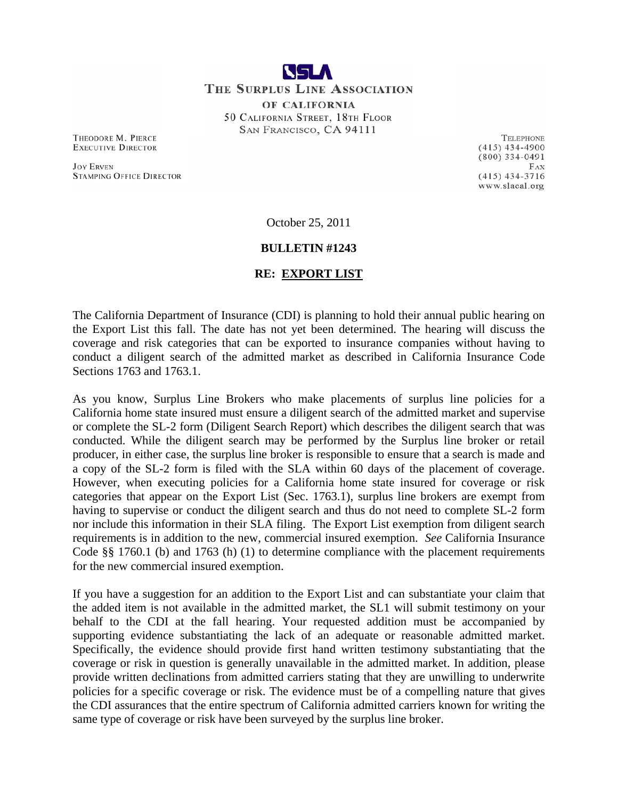

THEODORE M. PIERCE **EXECUTIVE DIRECTOR** 

**JOY ERVEN STAMPING OFFICE DIRECTOR** 

TELEPHONE  $(415)$  434-4900  $(800)$  334-0491  $FAX$  $(415)$  434-3716 www.slacal.org

October 25, 2011

#### **BULLETIN #1243**

#### **RE: EXPORT LIST**

The California Department of Insurance (CDI) is planning to hold their annual public hearing on the Export List this fall. The date has not yet been determined. The hearing will discuss the coverage and risk categories that can be exported to insurance companies without having to conduct a diligent search of the admitted market as described in California Insurance Code Sections 1763 and 1763.1.

As you know, Surplus Line Brokers who make placements of surplus line policies for a California home state insured must ensure a diligent search of the admitted market and supervise or complete the SL-2 form (Diligent Search Report) which describes the diligent search that was conducted. While the diligent search may be performed by the Surplus line broker or retail producer, in either case, the surplus line broker is responsible to ensure that a search is made and a copy of the SL-2 form is filed with the SLA within 60 days of the placement of coverage. However, when executing policies for a California home state insured for coverage or risk categories that appear on the Export List (Sec. 1763.1), surplus line brokers are exempt from having to supervise or conduct the diligent search and thus do not need to complete SL-2 form nor include this information in their SLA filing. The Export List exemption from diligent search requirements is in addition to the new, commercial insured exemption. *See* California Insurance Code §§ 1760.1 (b) and 1763 (h) (1) to determine compliance with the placement requirements for the new commercial insured exemption.

If you have a suggestion for an addition to the Export List and can substantiate your claim that the added item is not available in the admitted market, the SL1 will submit testimony on your behalf to the CDI at the fall hearing. Your requested addition must be accompanied by supporting evidence substantiating the lack of an adequate or reasonable admitted market. Specifically, the evidence should provide first hand written testimony substantiating that the coverage or risk in question is generally unavailable in the admitted market. In addition, please provide written declinations from admitted carriers stating that they are unwilling to underwrite policies for a specific coverage or risk. The evidence must be of a compelling nature that gives the CDI assurances that the entire spectrum of California admitted carriers known for writing the same type of coverage or risk have been surveyed by the surplus line broker.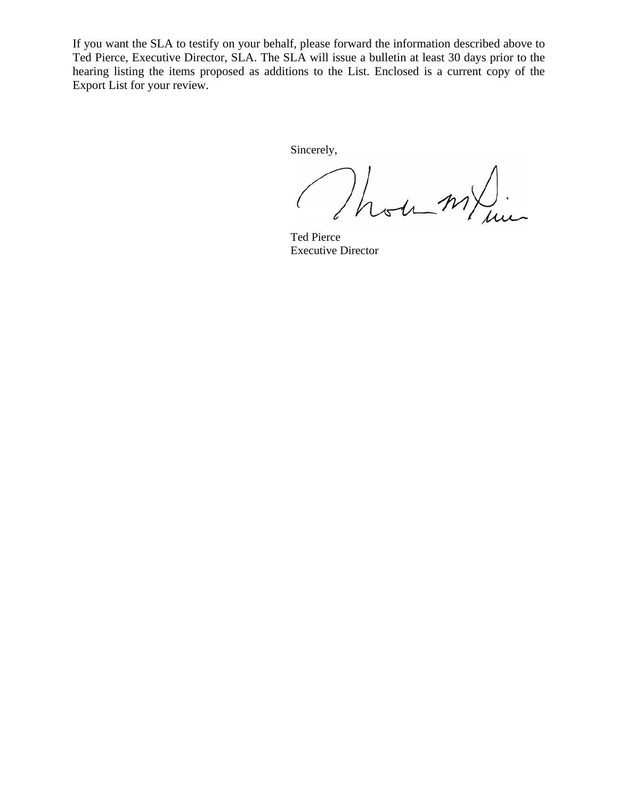If you want the SLA to testify on your behalf, please forward the information described above to Ted Pierce, Executive Director, SLA. The SLA will issue a bulletin at least 30 days prior to the hearing listing the items proposed as additions to the List. Enclosed is a current copy of the Export List for your review.

Sincerely,

ou m/

Ted Pierce Executive Director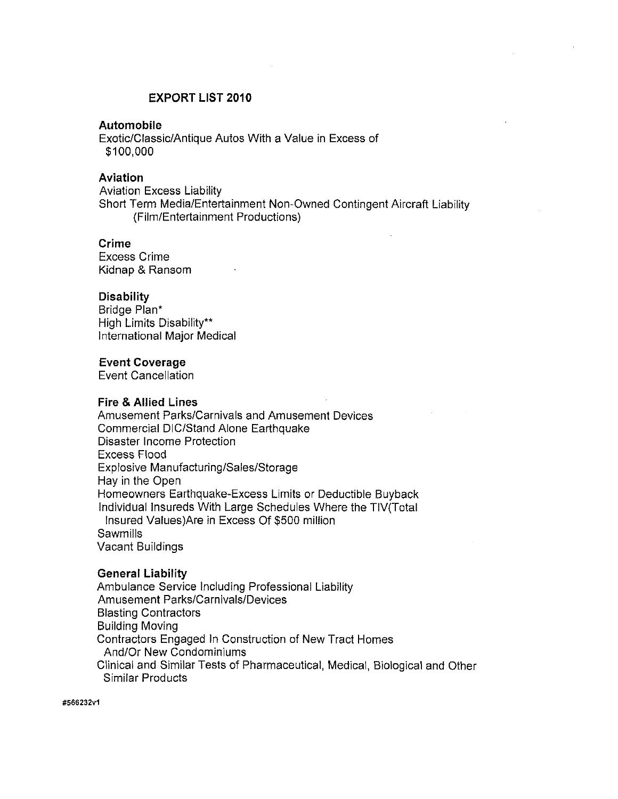### **EXPORT LIST 2010**

#### **Automobile**

Exotic/Classic/Antique Autos With a Value in Excess of \$100,000

## **Aviation**

**Aviation Excess Liability** Short Term Media/Entertainment Non-Owned Contingent Aircraft Liability (Film/Entertainment Productions)

#### **Crime**

**Excess Crime** Kidnap & Ransom

#### **Disability**

Bridge Plan\* High Limits Disability\*\* International Major Medical

#### **Event Coverage**

**Event Cancellation** 

#### **Fire & Allied Lines**

Amusement Parks/Carnivals and Amusement Devices Commercial DIC/Stand Alone Earthquake Disaster Income Protection **Excess Flood** Explosive Manufacturing/Sales/Storage Hay in the Open Homeowners Earthquake-Excess Limits or Deductible Buyback Individual Insureds With Large Schedules Where the TIV(Total Insured Values) Are in Excess Of \$500 million **Sawmills Vacant Buildings** 

#### **General Liability**

Ambulance Service Including Professional Liability **Amusement Parks/Carnivals/Devices Blasting Contractors Building Moving** Contractors Engaged In Construction of New Tract Homes And/Or New Condominiums Clinical and Similar Tests of Pharmaceutical, Medical, Biological and Other Similar Products

#### #566232v1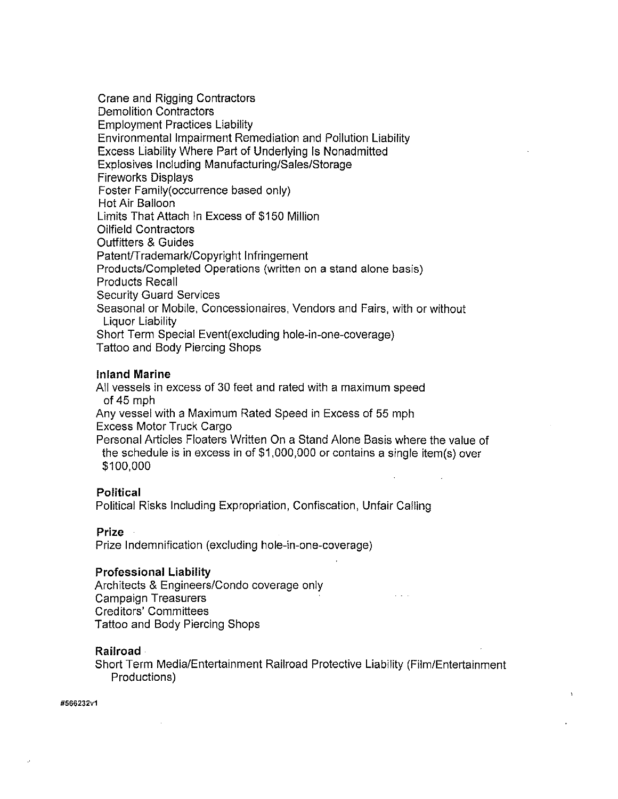Crane and Rigging Contractors **Demolition Contractors Employment Practices Liability Environmental Impairment Remediation and Pollution Liability** Excess Liability Where Part of Underlying Is Nonadmitted Explosives Including Manufacturing/Sales/Storage **Fireworks Displays** Foster Family (occurrence based only) Hot Air Balloon Limits That Attach In Excess of \$150 Million **Oilfield Contractors Outfitters & Guides** Patent/Trademark/Copyright Infringement Products/Completed Operations (written on a stand alone basis) **Products Recall Security Guard Services** Seasonal or Mobile, Concessionaires, Vendors and Fairs, with or without Liquor Liability Short Term Special Event (excluding hole-in-one-coverage) Tattoo and Body Piercing Shops

#### **Inland Marine**

All vessels in excess of 30 feet and rated with a maximum speed of  $45$  mph Any vessel with a Maximum Rated Speed in Excess of 55 mph **Excess Motor Truck Cargo** 

Personal Articles Floaters Written On a Stand Alone Basis where the value of the schedule is in excess in of \$1,000,000 or contains a single item(s) over \$100,000

#### **Political**

Political Risks Including Expropriation, Confiscation, Unfair Calling

#### **Prize**

Prize Indemnification (excluding hole-in-one-coverage)

#### **Professional Liability**

Architects & Engineers/Condo coverage only **Campaign Treasurers Creditors' Committees** Tattoo and Body Piercing Shops

#### **Railroad**

Short Term Media/Entertainment Railroad Protective Liability (Film/Entertainment Productions)

#566232v1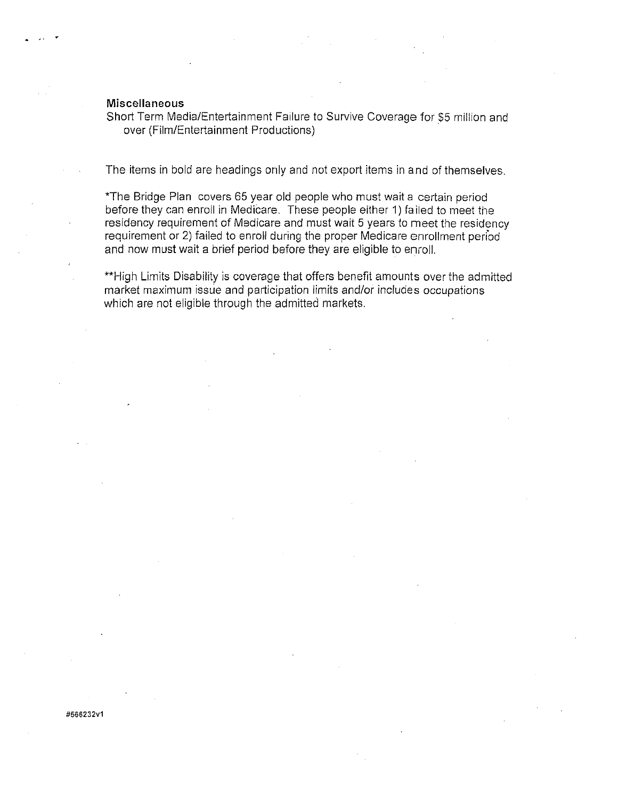#### **Miscellaneous**

Short Term Media/Entertainment Failure to Survive Coverage for \$5 million and over (Film/Entertainment Productions)

The items in bold are headings only and not export items in and of themselves.

\*The Bridge Plan covers 65 year old people who must wait a certain period before they can enroll in Medicare. These people either 1) failed to meet the residency requirement of Medicare and must wait 5 years to meet the residency requirement or 2) failed to enroll during the proper Medicare enrollment period and now must wait a brief period before they are eligible to enroll.

\*\*High Limits Disability is coverage that offers benefit amounts over the admitted market maximum issue and participation limits and/or includes occupations which are not eligible through the admitted markets.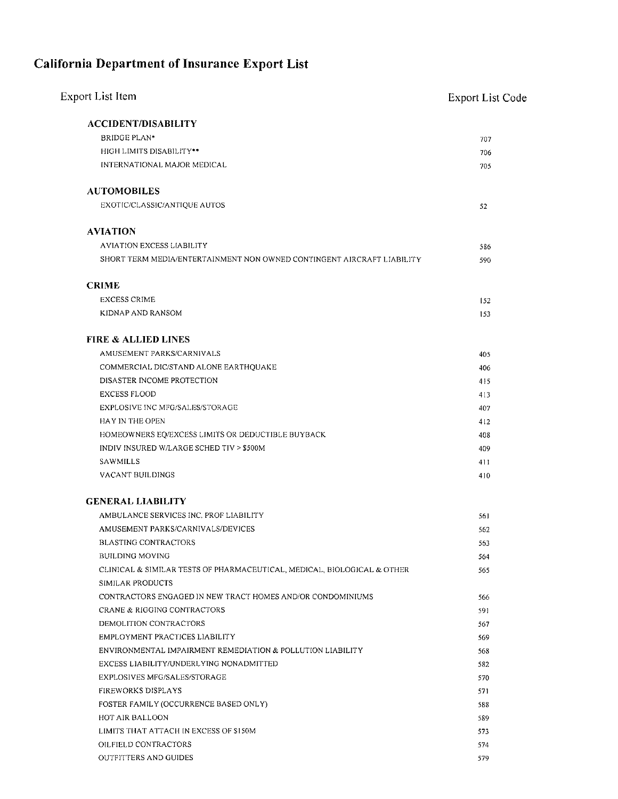# **California Department of Insurance Export List**

| Export List Item                                                        | <b>Export List Code</b> |
|-------------------------------------------------------------------------|-------------------------|
| <b>ACCIDENT/DISABILITY</b>                                              |                         |
| <b>BRIDGE PLAN*</b>                                                     | 707                     |
| HIGH LIMITS DISABILITY**                                                | 706                     |
| INTERNATIONAL MAJOR MEDICAL                                             | 705                     |
|                                                                         |                         |
| <b>AUTOMOBILES</b>                                                      |                         |
| EXOTIC/CLASSIC/ANTIQUE AUTOS                                            | 52                      |
| <b>AVIATION</b>                                                         |                         |
|                                                                         |                         |
| <b>AVIATION EXCESS LIABILITY</b>                                        | 586                     |
| SHORT TERM MEDIA/ENTERTAINMENT NON OWNED CONTINGENT AIRCRAFT LIABILITY  | 590                     |
| <b>CRIME</b>                                                            |                         |
| <b>EXCESS CRIME</b>                                                     | 152                     |
| KIDNAP AND RANSOM                                                       | 153                     |
|                                                                         |                         |
| <b>FIRE &amp; ALLIED LINES</b>                                          |                         |
| AMUSEMENT PARKS/CARNIVALS                                               | 405                     |
| COMMERCIAL DIC/STAND ALONE EARTHQUAKE                                   | 406                     |
| DISASTER INCOME PROTECTION                                              | 415                     |
| <b>EXCESS FLOOD</b>                                                     | 413                     |
| EXPLOSIVE INC MFG/SALES/STORAGE                                         | 407                     |
| HAY IN THE OPEN                                                         | 412                     |
| HOMEOWNERS EQ/EXCESS LIMITS OR DEDUCTIBLE BUYBACK                       | 408                     |
| INDIV INSURED W/LARGE SCHED TIV > \$500M                                | 409                     |
| SAWMILLS                                                                | 411                     |
| VACANT BUILDINGS                                                        | 410                     |
| <b>GENERAL LIABILITY</b>                                                |                         |
|                                                                         |                         |
| AMBULANCE SERVICES INC. PROF LIABILITY                                  | 561                     |
| AMUSEMENT PARKS/CARNIVALS/DEVICES                                       | 562                     |
| BLASTING CONTRACTORS                                                    | 563                     |
| <b>BUILDING MOVING</b>                                                  | 564                     |
| CLINICAL & SIMILAR TESTS OF PHARMACEUTICAL, MEDICAL, BIOLOGICAL & OTHER | 565                     |
| SIMILAR PRODUCTS                                                        |                         |
| CONTRACTORS ENGAGED IN NEW TRACT HOMES AND/OR CONDOMINIUMS              | 566                     |
| CRANE & RIGGING CONTRACTORS                                             | 591                     |
| DEMOLITION CONTRACTORS                                                  | 567                     |
| EMPLOYMENT PRACTICES LIABILITY                                          | 569                     |
| ENVIRONMENTAL IMPAIRMENT REMEDIATION & POLLUTION LIABILITY              | 568                     |
| EXCESS LIABILITY/UNDERLYING NONADMITTED                                 | 582                     |
| EXPLOSIVES MFG/SALES/STORAGE                                            | 570                     |
| FIREWORKS DISPLAYS                                                      | 571                     |
| FOSTER FAMILY (OCCURRENCE BASED ONLY)                                   | 588                     |
| HOT AIR BALLOON                                                         | 589                     |
| LIMITS THAT ATTACH IN EXCESS OF \$150M                                  | 573                     |
| OILFIELD CONTRACTORS                                                    | 574                     |
| OUTFITTERS AND GUIDES                                                   | 579                     |